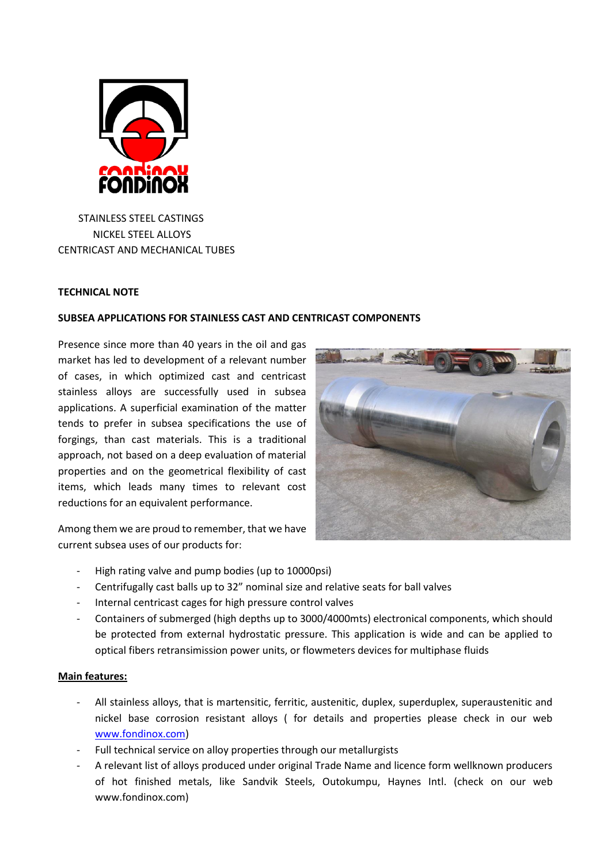

STAINLESS STEEL CASTINGS NICKEL STEEL ALLOYS CENTRICAST AND MECHANICAL TUBES

## **TECHNICAL NOTE**

## **SUBSEA APPLICATIONS FOR STAINLESS CAST AND CENTRICAST COMPONENTS**

Presence since more than 40 years in the oil and gas market has led to development of a relevant number of cases, in which optimized cast and centricast stainless alloys are successfully used in subsea applications. A superficial examination of the matter tends to prefer in subsea specifications the use of forgings, than cast materials. This is a traditional approach, not based on a deep evaluation of material properties and on the geometrical flexibility of cast items, which leads many times to relevant cost reductions for an equivalent performance.

Among them we are proud to remember, that we have current subsea uses of our products for:



- High rating valve and pump bodies (up to 10000psi)
- Centrifugally cast balls up to 32" nominal size and relative seats for ball valves
- Internal centricast cages for high pressure control valves
- Containers of submerged (high depths up to 3000/4000mts) electronical components, which should be protected from external hydrostatic pressure. This application is wide and can be applied to optical fibers retransimission power units, or flowmeters devices for multiphase fluids

## **Main features:**

- All stainless alloys, that is martensitic, ferritic, austenitic, duplex, superduplex, superaustenitic and nickel base corrosion resistant alloys ( for details and properties please check in our web [www.fondinox.com\)](http://www.fondinox.com/)
- Full technical service on alloy properties through our metallurgists
- A relevant list of alloys produced under original Trade Name and licence form wellknown producers of hot finished metals, like Sandvik Steels, Outokumpu, Haynes Intl. (check on our web www.fondinox.com)